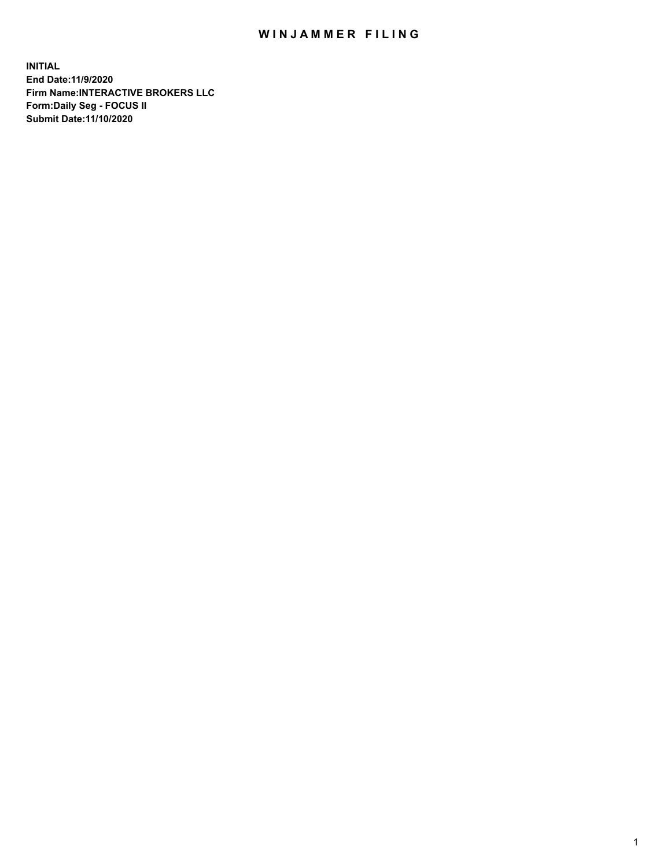## WIN JAMMER FILING

**INITIAL End Date:11/9/2020 Firm Name:INTERACTIVE BROKERS LLC Form:Daily Seg - FOCUS II Submit Date:11/10/2020**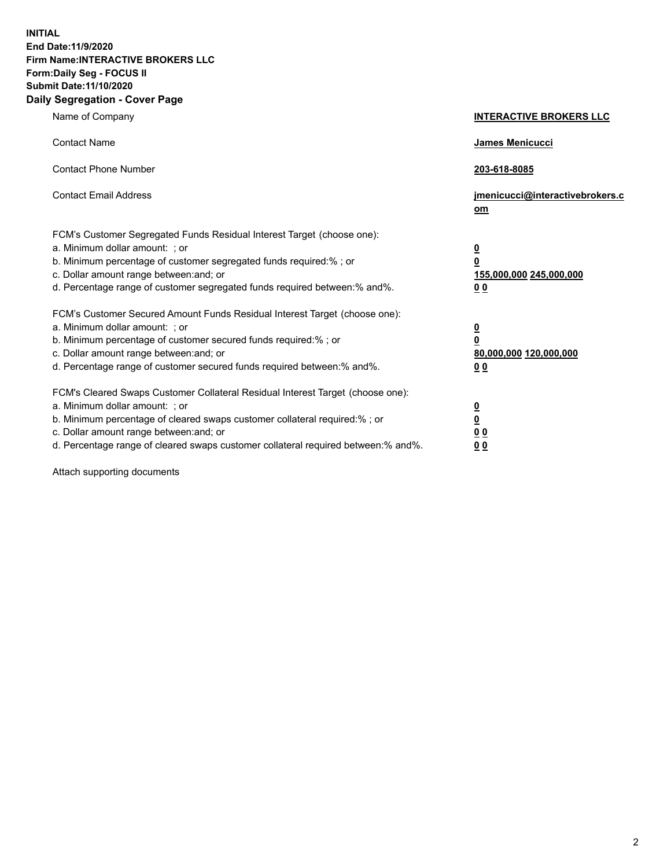**INITIAL End Date:11/9/2020 Firm Name:INTERACTIVE BROKERS LLC Form:Daily Seg - FOCUS II Submit Date:11/10/2020 Daily Segregation - Cover Page**

| Name of Company                                                                                                                                                                                                                                                                                                                | <b>INTERACTIVE BROKERS LLC</b>                                                                 |  |
|--------------------------------------------------------------------------------------------------------------------------------------------------------------------------------------------------------------------------------------------------------------------------------------------------------------------------------|------------------------------------------------------------------------------------------------|--|
| <b>Contact Name</b>                                                                                                                                                                                                                                                                                                            | James Menicucci                                                                                |  |
| <b>Contact Phone Number</b>                                                                                                                                                                                                                                                                                                    | 203-618-8085                                                                                   |  |
| <b>Contact Email Address</b>                                                                                                                                                                                                                                                                                                   | jmenicucci@interactivebrokers.c<br>$om$                                                        |  |
| FCM's Customer Segregated Funds Residual Interest Target (choose one):<br>a. Minimum dollar amount: ; or<br>b. Minimum percentage of customer segregated funds required:% ; or<br>c. Dollar amount range between: and; or<br>d. Percentage range of customer segregated funds required between:% and%.                         | $\overline{\mathbf{0}}$<br>$\overline{\mathbf{0}}$<br>155,000,000 245,000,000<br>00            |  |
| FCM's Customer Secured Amount Funds Residual Interest Target (choose one):<br>a. Minimum dollar amount: ; or<br>b. Minimum percentage of customer secured funds required:%; or<br>c. Dollar amount range between: and; or<br>d. Percentage range of customer secured funds required between:% and%.                            | $\overline{\mathbf{0}}$<br>$\overline{\mathbf{0}}$<br>80,000,000 120,000,000<br>0 <sub>0</sub> |  |
| FCM's Cleared Swaps Customer Collateral Residual Interest Target (choose one):<br>a. Minimum dollar amount: ; or<br>b. Minimum percentage of cleared swaps customer collateral required:% ; or<br>c. Dollar amount range between: and; or<br>d. Percentage range of cleared swaps customer collateral required between:% and%. | $\overline{\mathbf{0}}$<br><u>0</u><br>0 <sub>0</sub><br>0 <sub>0</sub>                        |  |

Attach supporting documents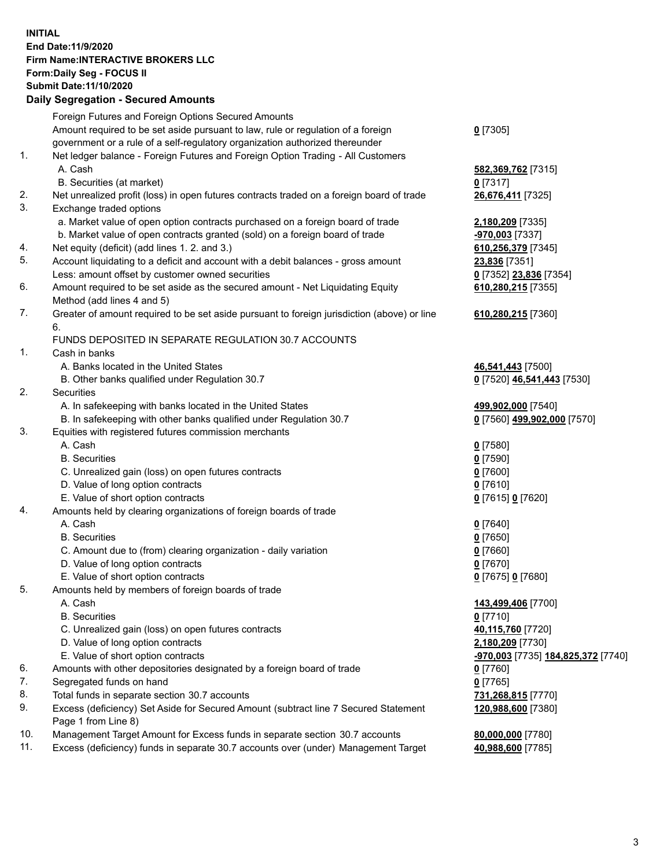**INITIAL End Date:11/9/2020 Firm Name:INTERACTIVE BROKERS LLC Form:Daily Seg - FOCUS II Submit Date:11/10/2020 Daily Segregation - Secured Amounts**

## Foreign Futures and Foreign Options Secured Amounts Amount required to be set aside pursuant to law, rule or regulation of a foreign government or a rule of a self-regulatory organization authorized thereunder **0** [7305] 1. Net ledger balance - Foreign Futures and Foreign Option Trading - All Customers A. Cash **582,369,762** [7315] B. Securities (at market) **0** [7317] 2. Net unrealized profit (loss) in open futures contracts traded on a foreign board of trade **26,676,411** [7325] 3. Exchange traded options a. Market value of open option contracts purchased on a foreign board of trade **2,180,209** [7335] b. Market value of open contracts granted (sold) on a foreign board of trade **-970,003** [7337] 4. Net equity (deficit) (add lines 1. 2. and 3.) **610,256,379** [7345] 5. Account liquidating to a deficit and account with a debit balances - gross amount **23,836** [7351] Less: amount offset by customer owned securities **0** [7352] **23,836** [7354] 6. Amount required to be set aside as the secured amount - Net Liquidating Equity Method (add lines 4 and 5) **610,280,215** [7355] 7. Greater of amount required to be set aside pursuant to foreign jurisdiction (above) or line 6. **610,280,215** [7360] FUNDS DEPOSITED IN SEPARATE REGULATION 30.7 ACCOUNTS 1. Cash in banks A. Banks located in the United States **46,541,443** [7500] B. Other banks qualified under Regulation 30.7 **0** [7520] **46,541,443** [7530] 2. Securities A. In safekeeping with banks located in the United States **499,902,000** [7540] B. In safekeeping with other banks qualified under Regulation 30.7 **0** [7560] **499,902,000** [7570] 3. Equities with registered futures commission merchants A. Cash **0** [7580] B. Securities **0** [7590] C. Unrealized gain (loss) on open futures contracts **0** [7600] D. Value of long option contracts **0** [7610] E. Value of short option contracts **0** [7615] **0** [7620] 4. Amounts held by clearing organizations of foreign boards of trade A. Cash **0** [7640] B. Securities **0** [7650] C. Amount due to (from) clearing organization - daily variation **0** [7660] D. Value of long option contracts **0** [7670] E. Value of short option contracts **0** [7675] **0** [7680] 5. Amounts held by members of foreign boards of trade A. Cash **143,499,406** [7700] B. Securities **0** [7710] C. Unrealized gain (loss) on open futures contracts **40,115,760** [7720] D. Value of long option contracts **2,180,209** [7730] E. Value of short option contracts **-970,003** [7735] **184,825,372** [7740] 6. Amounts with other depositories designated by a foreign board of trade **0** [7760] 7. Segregated funds on hand **0** [7765] 8. Total funds in separate section 30.7 accounts **731,268,815** [7770] 9. Excess (deficiency) Set Aside for Secured Amount (subtract line 7 Secured Statement Page 1 from Line 8) **120,988,600** [7380] 10. Management Target Amount for Excess funds in separate section 30.7 accounts **80,000,000** [7780] 11. Excess (deficiency) funds in separate 30.7 accounts over (under) Management Target **40,988,600** [7785]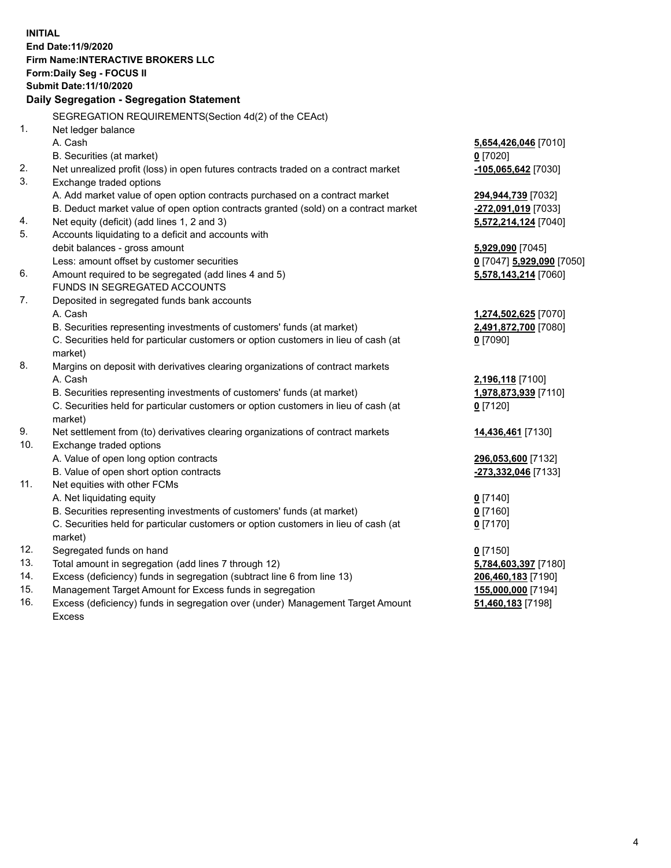**INITIAL End Date:11/9/2020 Firm Name:INTERACTIVE BROKERS LLC Form:Daily Seg - FOCUS II Submit Date:11/10/2020 Daily Segregation - Segregation Statement** SEGREGATION REQUIREMENTS(Section 4d(2) of the CEAct) 1. Net ledger balance A. Cash **5,654,426,046** [7010] B. Securities (at market) **0** [7020] 2. Net unrealized profit (loss) in open futures contracts traded on a contract market **-105,065,642** [7030] 3. Exchange traded options A. Add market value of open option contracts purchased on a contract market **294,944,739** [7032] B. Deduct market value of open option contracts granted (sold) on a contract market **-272,091,019** [7033] 4. Net equity (deficit) (add lines 1, 2 and 3) **5,572,214,124** [7040] 5. Accounts liquidating to a deficit and accounts with debit balances - gross amount **5,929,090** [7045] Less: amount offset by customer securities **0** [7047] **5,929,090** [7050] 6. Amount required to be segregated (add lines 4 and 5) **5,578,143,214** [7060] FUNDS IN SEGREGATED ACCOUNTS 7. Deposited in segregated funds bank accounts A. Cash **1,274,502,625** [7070] B. Securities representing investments of customers' funds (at market) **2,491,872,700** [7080] C. Securities held for particular customers or option customers in lieu of cash (at market) **0** [7090] 8. Margins on deposit with derivatives clearing organizations of contract markets A. Cash **2,196,118** [7100] B. Securities representing investments of customers' funds (at market) **1,978,873,939** [7110] C. Securities held for particular customers or option customers in lieu of cash (at market) **0** [7120] 9. Net settlement from (to) derivatives clearing organizations of contract markets **14,436,461** [7130] 10. Exchange traded options A. Value of open long option contracts **296,053,600** [7132] B. Value of open short option contracts **-273,332,046** [7133] 11. Net equities with other FCMs A. Net liquidating equity **0** [7140] B. Securities representing investments of customers' funds (at market) **0** [7160] C. Securities held for particular customers or option customers in lieu of cash (at market) **0** [7170] 12. Segregated funds on hand **0** [7150] 13. Total amount in segregation (add lines 7 through 12) **5,784,603,397** [7180] 14. Excess (deficiency) funds in segregation (subtract line 6 from line 13) **206,460,183** [7190] 15. Management Target Amount for Excess funds in segregation **155,000,000** [7194]

16. Excess (deficiency) funds in segregation over (under) Management Target Amount Excess

**51,460,183** [7198]